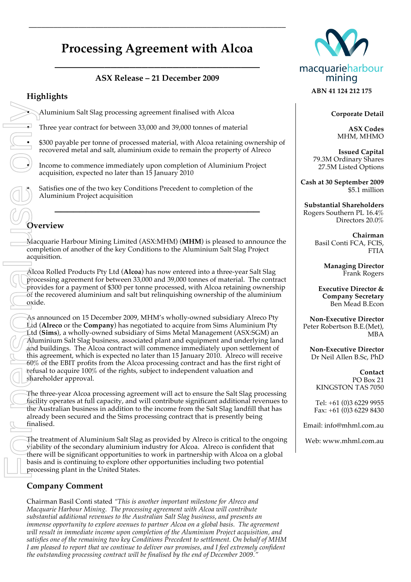# **Processing Agreement with Alcoa**

\_\_\_\_\_\_\_\_\_\_\_\_\_\_\_\_\_\_\_\_\_\_\_\_\_\_\_\_\_\_\_\_\_

\_\_\_\_\_\_\_\_\_\_\_\_\_\_\_\_\_\_\_\_\_\_\_\_\_\_\_\_\_\_\_\_\_\_\_\_\_\_\_\_\_\_\_\_\_\_\_\_\_\_\_\_\_\_\_\_\_\_\_\_\_\_

### **ASX Release – 21 December 2009**

# **Highlights**

• Aluminium Salt Slag processing agreement finalised with Alcoa

• Three year contract for between 33,000 and 39,000 tonnes of material

• \$300 payable per tonne of processed material, with Alcoa retaining ownership of recovered metal and salt, aluminium oxide to remain the property of Alreco

• Income to commence immediately upon completion of Aluminium Project acquisition, expected no later than 15 January 2010

Satisfies one of the two key Conditions Precedent to completion of the Aluminium Project acquisition

# **Overview**

Macquarie Harbour Mining Limited (ASX:MHM) (**MHM**) is pleased to announce the completion of another of the key Conditions to the Aluminium Salt Slag Project acquisition.

**\_\_\_\_\_\_\_\_\_\_\_\_\_\_\_\_\_\_\_\_\_\_\_\_\_\_\_\_\_\_\_\_\_**

Alcoa Rolled Products Pty Ltd (**Alcoa**) has now entered into a three-year Salt Slag processing agreement for between 33,000 and 39,000 tonnes of material. The contract provides for a payment of \$300 per tonne processed, with Alcoa retaining ownership  $\overline{\text{of}}$  the recovered aluminium and salt but relinquishing ownership of the aluminium oxide.

As announced on 15 December 2009, MHM's wholly-owned subsidiary Alreco Pty Ltd (**Alreco** or the **Company**) has negotiated to acquire from Sims Aluminium Pty Ltd (**Sims**), a wholly-owned subsidiary of Sims Metal Management (ASX:SGM) an Aluminium Salt Slag business, associated plant and equipment and underlying land and buildings. The Alcoa contract will commence immediately upon settlement of this agreement, which is expected no later than 15 January 2010. Alreco will receive 60% of the EBIT profits from the Alcoa processing contract and has the first right of refusal to acquire 100% of the rights, subject to independent valuation and shareholder approval.

The three-year Alcoa processing agreement will act to ensure the Salt Slag processing facility operates at full capacity, and will contribute significant additional revenues to the Australian business in addition to the income from the Salt Slag landfill that has already been secured and the Sims processing contract that is presently being finalised.

The treatment of Aluminium Salt Slag as provided by Alreco is critical to the ongoing viability of the secondary aluminium industry for Alcoa. Alreco is confident that there will be significant opportunities to work in partnership with Alcoa on a global basis and is continuing to explore other opportunities including two potential processing plant in the United States.

#### **Company Comment**

Chairman Basil Conti stated *"This is another important milestone for Alreco and Macquarie Harbour Mining. The processing agreement with Alcoa will contribute substantial additional revenues to the Australian Salt Slag business, and presents an immense opportunity to explore avenues to partner Alcoa on a global basis. The agreement will result in immediate income upon completion of the Aluminium Project acquisition, and satisfies one of the remaining two key Conditions Precedent to settlement. On behalf of MHM I am pleased to report that we continue to deliver our promises, and I feel extremely confident the outstanding processing contract will be finalised by the end of December 2009."*



#### **ABN 41 124 212 175**

**Corporate Detail**

**ASX Codes** MHM, MHMO

**Issued Capital** 79.3M Ordinary Shares 27.5M Listed Options

**Cash at 30 September 2009** \$5.1 million

**Substantial Shareholders** Rogers Southern PL 16.4% Directors 20.0%

> **Chairman** Basil Conti FCA, FCIS, FTIA

> > **Managing Director** Frank Rogers

**Executive Director & Company Secretary** Ben Mead B.Econ

**Non-Executive Director**  Peter Robertson B.E.(Met), MBA

**Non-Executive Director** Dr Neil Allen B.Sc, PhD

**Contact** PO Box 21 KINGSTON TAS 7050

Tel: +61 (0)3 6229 9955 Fax: +61 (0)3 6229 8430

Email: info@mhml.com.au

Web: www.mhml.com.au